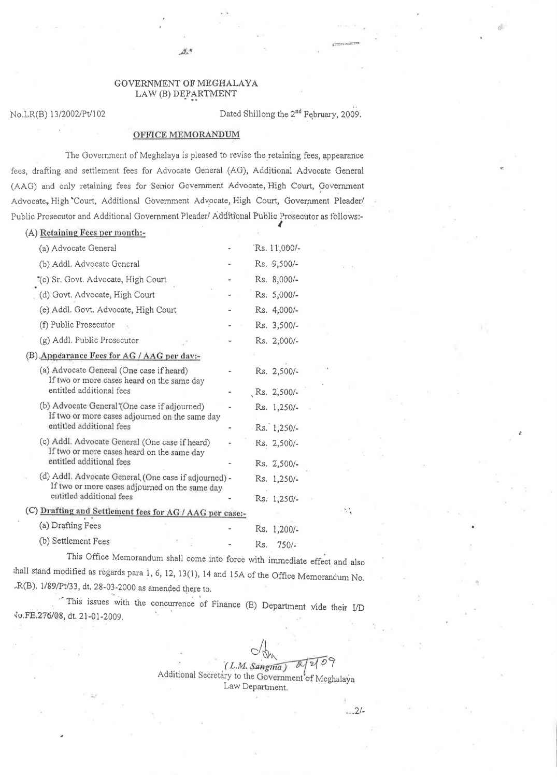## GOVERNMENT OF MEGHALAYA LAW (B) DEPARTMENT

No.LR(B) 13/2002/Pt/102 **Dated Shillong the 2<sup>nd</sup> February, 2009.** 

**lP** 

## OFFICE MEMORANDUM

The Government of Meghalaya is pleased to revise the retaining fees, appearance fees, drafting and settlement fees for Advocate General (AG), Additional Advocate General (AAG) and only retaining fees for Senior Government Advocate, High Court, Government Advocate, High 'Court, Additional Government Advocate, High Court, Government Pleader/ Public Prosecutor and Additional Government Pleader/ Additional Public Prosecutor as follows:-

| (A) Retaining Fees per month:-                                                                         |     |              |  |
|--------------------------------------------------------------------------------------------------------|-----|--------------|--|
| (a) Advocate General                                                                                   |     | Rs. 11,000/- |  |
| (b) Addl. Advocate General                                                                             |     | Rs. 9,500/-  |  |
| "(c) Sr. Govt. Advocate, High Court                                                                    |     | Rs. 8,000/-  |  |
| (d) Govt. Advocate, High Court                                                                         |     | Rs. 5,000/-  |  |
| (e) Addl. Govt. Advocate, High Court                                                                   |     | Rs. 4,000/-  |  |
| (f) Public Prosecutor                                                                                  |     | Rs. 3,500/-  |  |
| (g) Addl. Public Prosecutor                                                                            |     | Rs. 2,000/-  |  |
| (B) Appearance Fees for AG / AAG per day:-                                                             |     |              |  |
| (a) Advocate General (One case if heard)<br>If two or more cases heard on the same day                 |     | Rs. 2,500/-  |  |
| entitled additional fees                                                                               |     | Rs. 2,500/-  |  |
| (b) Advocate General (One case if adjourned)<br>If two or more cases adjourned on the same day         |     | Rs. 1,250/-  |  |
| entitled additional fees                                                                               |     | Rs. 1,250/-  |  |
| (c) Addl. Advocate General (One case if heard)<br>If two or more cases heard on the same day           |     | Rs. 2,500/-  |  |
| entitled additional fees                                                                               |     | Rs. 2,500/-  |  |
| (d) Addl. Advocate General (One case if adjourned) -<br>If two or more cases adjourned on the same day |     | Rs. 1,250/-  |  |
| entitled additional fees                                                                               |     | Rs: 1,250/-  |  |
| (C) Drafting and Settlement fees for AG / AAG per case:-                                               |     |              |  |
| (a) Drafting Fees                                                                                      |     | Rs. 1,200/-  |  |
| (b) Settlement Fees                                                                                    | Rs. | 750/         |  |

This Office Memorandum shall come into force with immediate effect and also :ha11 stand modified as regards para 1, 6, 12, 13( 1), 14 and 15A of the Office Memorandum No.  $-R(B)$ . 1/89/Pt/33, dt. 28-03-2000 as amended there to.

'This issues with the concurrence of Finance (E) Department vide their I/D *..]o,FE.276/08,* dt. 21-01-2009.

> $-\sqrt{2}$ Additional Secretary to the Government of Meghulaya Law Department.

, .

" *.2/-*

 $\mathcal{A}^*$